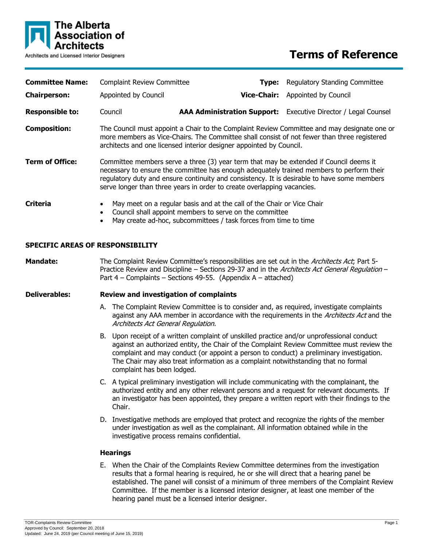

# **Terms of Reference**

| <b>Committee Name:</b>                  | <b>Complaint Review Committee</b>                                                                                                                                                                                                                                                                                                                            |                                                                                                                                                                                                                                                                                                                                                                                                        | Type: | <b>Regulatory Standing Committee</b> |                                                                                                                                                                                                                                                                                                                                                                         |  |
|-----------------------------------------|--------------------------------------------------------------------------------------------------------------------------------------------------------------------------------------------------------------------------------------------------------------------------------------------------------------------------------------------------------------|--------------------------------------------------------------------------------------------------------------------------------------------------------------------------------------------------------------------------------------------------------------------------------------------------------------------------------------------------------------------------------------------------------|-------|--------------------------------------|-------------------------------------------------------------------------------------------------------------------------------------------------------------------------------------------------------------------------------------------------------------------------------------------------------------------------------------------------------------------------|--|
| <b>Chairperson:</b>                     |                                                                                                                                                                                                                                                                                                                                                              | Appointed by Council                                                                                                                                                                                                                                                                                                                                                                                   |       | <b>Vice-Chair:</b>                   | Appointed by Council                                                                                                                                                                                                                                                                                                                                                    |  |
| <b>Responsible to:</b>                  |                                                                                                                                                                                                                                                                                                                                                              | Council                                                                                                                                                                                                                                                                                                                                                                                                |       |                                      | AAA Administration Support: Executive Director / Legal Counsel                                                                                                                                                                                                                                                                                                          |  |
| <b>Composition:</b>                     | The Council must appoint a Chair to the Complaint Review Committee and may designate one or<br>more members as Vice-Chairs. The Committee shall consist of not fewer than three registered<br>architects and one licensed interior designer appointed by Council.                                                                                            |                                                                                                                                                                                                                                                                                                                                                                                                        |       |                                      |                                                                                                                                                                                                                                                                                                                                                                         |  |
| <b>Term of Office:</b>                  | Committee members serve a three (3) year term that may be extended if Council deems it<br>necessary to ensure the committee has enough adequately trained members to perform their<br>regulatory duty and ensure continuity and consistency. It is desirable to have some members<br>serve longer than three years in order to create overlapping vacancies. |                                                                                                                                                                                                                                                                                                                                                                                                        |       |                                      |                                                                                                                                                                                                                                                                                                                                                                         |  |
| <b>Criteria</b>                         | May meet on a regular basis and at the call of the Chair or Vice Chair<br>$\bullet$<br>Council shall appoint members to serve on the committee<br>$\bullet$<br>May create ad-hoc, subcommittees / task forces from time to time<br>$\bullet$                                                                                                                 |                                                                                                                                                                                                                                                                                                                                                                                                        |       |                                      |                                                                                                                                                                                                                                                                                                                                                                         |  |
| <b>SPECIFIC AREAS OF RESPONSIBILITY</b> |                                                                                                                                                                                                                                                                                                                                                              |                                                                                                                                                                                                                                                                                                                                                                                                        |       |                                      |                                                                                                                                                                                                                                                                                                                                                                         |  |
| <b>Mandate:</b>                         | The Complaint Review Committee's responsibilities are set out in the Architects Act; Part 5-<br>Practice Review and Discipline - Sections 29-37 and in the Architects Act General Regulation -<br>Part $4$ – Complaints – Sections 49-55. (Appendix A – attached)                                                                                            |                                                                                                                                                                                                                                                                                                                                                                                                        |       |                                      |                                                                                                                                                                                                                                                                                                                                                                         |  |
| <b>Deliverables:</b>                    | <b>Review and investigation of complaints</b>                                                                                                                                                                                                                                                                                                                |                                                                                                                                                                                                                                                                                                                                                                                                        |       |                                      |                                                                                                                                                                                                                                                                                                                                                                         |  |
|                                         |                                                                                                                                                                                                                                                                                                                                                              | Architects Act General Regulation.                                                                                                                                                                                                                                                                                                                                                                     |       |                                      | A. The Complaint Review Committee is to consider and, as required, investigate complaints<br>against any AAA member in accordance with the requirements in the Architects Act and the                                                                                                                                                                                   |  |
|                                         |                                                                                                                                                                                                                                                                                                                                                              | B. Upon receipt of a written complaint of unskilled practice and/or unprofessional conduct<br>against an authorized entity, the Chair of the Complaint Review Committee must review the<br>complaint and may conduct (or appoint a person to conduct) a preliminary investigation.<br>The Chair may also treat information as a complaint notwithstanding that no formal<br>complaint has been lodged. |       |                                      |                                                                                                                                                                                                                                                                                                                                                                         |  |
|                                         |                                                                                                                                                                                                                                                                                                                                                              | C. A typical preliminary investigation will include communicating with the complainant, the<br>authorized entity and any other relevant persons and a request for relevant documents. If<br>an investigator has been appointed, they prepare a written report with their findings to the<br>Chair.                                                                                                     |       |                                      |                                                                                                                                                                                                                                                                                                                                                                         |  |
|                                         |                                                                                                                                                                                                                                                                                                                                                              | D. Investigative methods are employed that protect and recognize the rights of the member<br>under investigation as well as the complainant. All information obtained while in the<br>investigative process remains confidential.                                                                                                                                                                      |       |                                      |                                                                                                                                                                                                                                                                                                                                                                         |  |
|                                         | <b>Hearings</b>                                                                                                                                                                                                                                                                                                                                              |                                                                                                                                                                                                                                                                                                                                                                                                        |       |                                      |                                                                                                                                                                                                                                                                                                                                                                         |  |
|                                         |                                                                                                                                                                                                                                                                                                                                                              |                                                                                                                                                                                                                                                                                                                                                                                                        |       |                                      | E. When the Chair of the Complaints Review Committee determines from the investigation<br>results that a formal hearing is required, he or she will direct that a hearing panel be<br>established. The panel will consist of a minimum of three members of the Complaint Review<br>Committee. If the member is a licensed interior designer, at least one member of the |  |

hearing panel must be a licensed interior designer.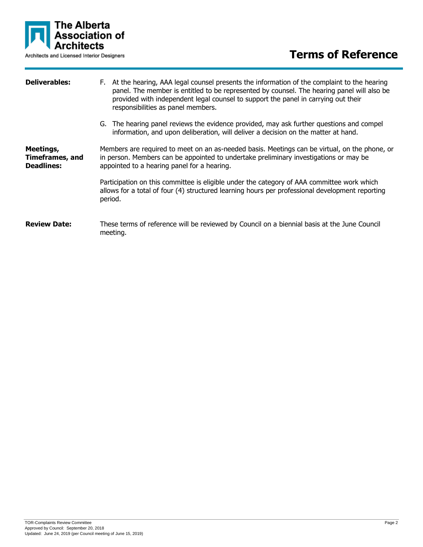

| <b>Deliverables:</b>                                     | F. At the hearing, AAA legal counsel presents the information of the complaint to the hearing<br>panel. The member is entitled to be represented by counsel. The hearing panel will also be<br>provided with independent legal counsel to support the panel in carrying out their<br>responsibilities as panel members. |  |  |
|----------------------------------------------------------|-------------------------------------------------------------------------------------------------------------------------------------------------------------------------------------------------------------------------------------------------------------------------------------------------------------------------|--|--|
|                                                          | G. The hearing panel reviews the evidence provided, may ask further questions and compel<br>information, and upon deliberation, will deliver a decision on the matter at hand.                                                                                                                                          |  |  |
| Meetings,<br><b>Timeframes, and</b><br><b>Deadlines:</b> | Members are required to meet on an as-needed basis. Meetings can be virtual, on the phone, or<br>in person. Members can be appointed to undertake preliminary investigations or may be<br>appointed to a hearing panel for a hearing.                                                                                   |  |  |
|                                                          | Participation on this committee is eligible under the category of AAA committee work which<br>allows for a total of four (4) structured learning hours per professional development reporting<br>period.                                                                                                                |  |  |
| <b>Review Date:</b>                                      | These terms of reference will be reviewed by Council on a biennial basis at the June Council<br>meeting.                                                                                                                                                                                                                |  |  |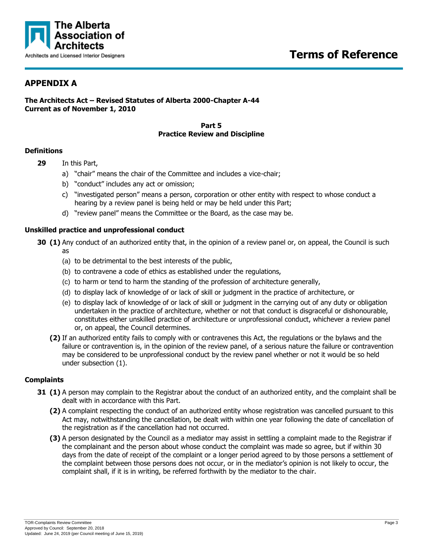

# **APPENDIX A**

# **The Architects Act – Revised Statutes of Alberta 2000-Chapter A-44 Current as of November 1, 2010**

#### **Part 5 Practice Review and Discipline**

## **Definitions**

- **29** In this Part,
	- a) "chair" means the chair of the Committee and includes a vice-chair;
	- b) "conduct" includes any act or omission;
	- c) "investigated person" means a person, corporation or other entity with respect to whose conduct a hearing by a review panel is being held or may be held under this Part;
	- d) "review panel" means the Committee or the Board, as the case may be.

## **Unskilled practice and unprofessional conduct**

- **30 (1)** Any conduct of an authorized entity that, in the opinion of a review panel or, on appeal, the Council is such as
	- (a) to be detrimental to the best interests of the public,
	- (b) to contravene a code of ethics as established under the regulations,
	- (c) to harm or tend to harm the standing of the profession of architecture generally,
	- (d) to display lack of knowledge of or lack of skill or judgment in the practice of architecture, or
	- (e) to display lack of knowledge of or lack of skill or judgment in the carrying out of any duty or obligation undertaken in the practice of architecture, whether or not that conduct is disgraceful or dishonourable, constitutes either unskilled practice of architecture or unprofessional conduct, whichever a review panel or, on appeal, the Council determines.
	- **(2)** If an authorized entity fails to comply with or contravenes this Act, the regulations or the bylaws and the failure or contravention is, in the opinion of the review panel, of a serious nature the failure or contravention may be considered to be unprofessional conduct by the review panel whether or not it would be so held under subsection (1).

# **Complaints**

- **31 (1)** A person may complain to the Registrar about the conduct of an authorized entity, and the complaint shall be dealt with in accordance with this Part.
	- **(2)** A complaint respecting the conduct of an authorized entity whose registration was cancelled pursuant to this Act may, notwithstanding the cancellation, be dealt with within one year following the date of cancellation of the registration as if the cancellation had not occurred.
	- **(3)** A person designated by the Council as a mediator may assist in settling a complaint made to the Registrar if the complainant and the person about whose conduct the complaint was made so agree, but if within 30 days from the date of receipt of the complaint or a longer period agreed to by those persons a settlement of the complaint between those persons does not occur, or in the mediator's opinion is not likely to occur, the complaint shall, if it is in writing, be referred forthwith by the mediator to the chair.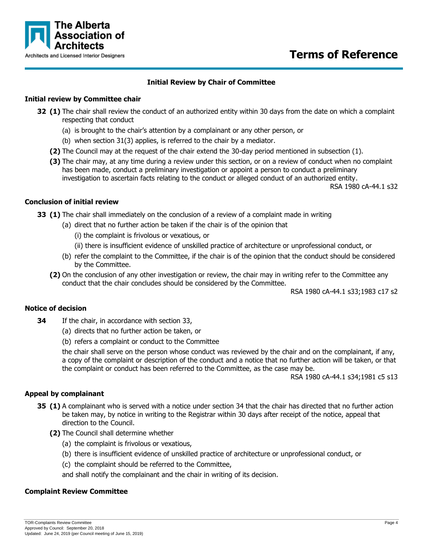

# **Terms of Reference**

# **Initial Review by Chair of Committee**

## **Initial review by Committee chair**

- **32 (1)** The chair shall review the conduct of an authorized entity within 30 days from the date on which a complaint respecting that conduct
	- (a) is brought to the chair's attention by a complainant or any other person, or
	- (b) when section 31(3) applies, is referred to the chair by a mediator.
	- **(2)** The Council may at the request of the chair extend the 30-day period mentioned in subsection (1).
	- **(3)** The chair may, at any time during a review under this section, or on a review of conduct when no complaint has been made, conduct a preliminary investigation or appoint a person to conduct a preliminary investigation to ascertain facts relating to the conduct or alleged conduct of an authorized entity.

RSA 1980 cA-44.1 s32

#### **Conclusion of initial review**

**33 (1)** The chair shall immediately on the conclusion of a review of a complaint made in writing

- (a) direct that no further action be taken if the chair is of the opinion that
	- (i) the complaint is frivolous or vexatious, or
	- (ii) there is insufficient evidence of unskilled practice of architecture or unprofessional conduct, or
- (b) refer the complaint to the Committee, if the chair is of the opinion that the conduct should be considered by the Committee.
- **(2)** On the conclusion of any other investigation or review, the chair may in writing refer to the Committee any conduct that the chair concludes should be considered by the Committee.

RSA 1980 cA-44.1 s33;1983 c17 s2

#### **Notice of decision**

- **34** If the chair, in accordance with section 33,
	- (a) directs that no further action be taken, or
	- (b) refers a complaint or conduct to the Committee

the chair shall serve on the person whose conduct was reviewed by the chair and on the complainant, if any, a copy of the complaint or description of the conduct and a notice that no further action will be taken, or that the complaint or conduct has been referred to the Committee, as the case may be.

RSA 1980 cA-44.1 s34;1981 c5 s13

# **Appeal by complainant**

- **35 (1)** A complainant who is served with a notice under section 34 that the chair has directed that no further action be taken may, by notice in writing to the Registrar within 30 days after receipt of the notice, appeal that direction to the Council.
	- **(2)** The Council shall determine whether
		- (a) the complaint is frivolous or vexatious,
		- (b) there is insufficient evidence of unskilled practice of architecture or unprofessional conduct, or
		- (c) the complaint should be referred to the Committee,

and shall notify the complainant and the chair in writing of its decision.

# **Complaint Review Committee**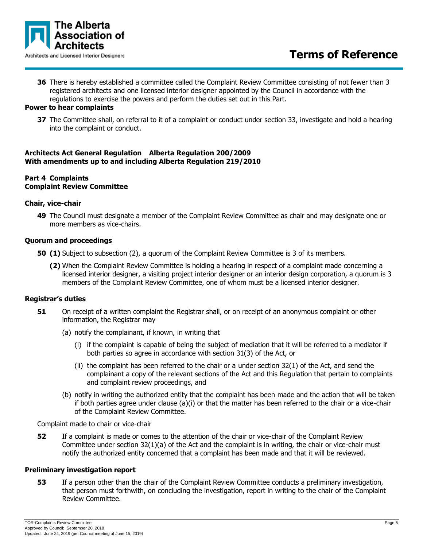

**36** There is hereby established a committee called the Complaint Review Committee consisting of not fewer than 3 registered architects and one licensed interior designer appointed by the Council in accordance with the regulations to exercise the powers and perform the duties set out in this Part.

## **Power to hear complaints**

**37** The Committee shall, on referral to it of a complaint or conduct under section 33, investigate and hold a hearing into the complaint or conduct.

#### **Architects Act General Regulation Alberta Regulation 200/2009 With amendments up to and including Alberta Regulation 219/2010**

## **Part 4 Complaints Complaint Review Committee**

#### **Chair, vice-chair**

**49** The Council must designate a member of the Complaint Review Committee as chair and may designate one or more members as vice-chairs.

#### **Quorum and proceedings**

- **50 (1)** Subject to subsection (2), a quorum of the Complaint Review Committee is 3 of its members.
	- **(2)** When the Complaint Review Committee is holding a hearing in respect of a complaint made concerning a licensed interior designer, a visiting project interior designer or an interior design corporation, a quorum is 3 members of the Complaint Review Committee, one of whom must be a licensed interior designer.

#### **Registrar's duties**

- **51** On receipt of a written complaint the Registrar shall, or on receipt of an anonymous complaint or other information, the Registrar may
	- (a) notify the complainant, if known, in writing that
		- (i) if the complaint is capable of being the subject of mediation that it will be referred to a mediator if both parties so agree in accordance with section 31(3) of the Act, or
		- (ii) the complaint has been referred to the chair or a under section 32(1) of the Act, and send the complainant a copy of the relevant sections of the Act and this Regulation that pertain to complaints and complaint review proceedings, and
	- (b) notify in writing the authorized entity that the complaint has been made and the action that will be taken if both parties agree under clause (a)(i) or that the matter has been referred to the chair or a vice-chair of the Complaint Review Committee.

Complaint made to chair or vice-chair

**52** If a complaint is made or comes to the attention of the chair or vice-chair of the Complaint Review Committee under section 32(1)(a) of the Act and the complaint is in writing, the chair or vice-chair must notify the authorized entity concerned that a complaint has been made and that it will be reviewed.

#### **Preliminary investigation report**

**53** If a person other than the chair of the Complaint Review Committee conducts a preliminary investigation, that person must forthwith, on concluding the investigation, report in writing to the chair of the Complaint Review Committee.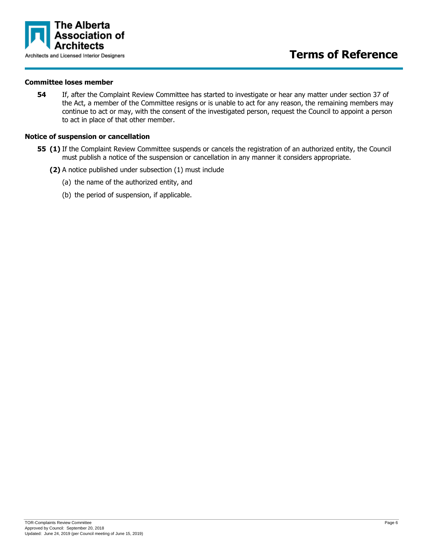

#### **Committee loses member**

**54** If, after the Complaint Review Committee has started to investigate or hear any matter under section 37 of the Act, a member of the Committee resigns or is unable to act for any reason, the remaining members may continue to act or may, with the consent of the investigated person, request the Council to appoint a person to act in place of that other member.

#### **Notice of suspension or cancellation**

- **55 (1)** If the Complaint Review Committee suspends or cancels the registration of an authorized entity, the Council must publish a notice of the suspension or cancellation in any manner it considers appropriate.
	- **(2)** A notice published under subsection (1) must include
		- (a) the name of the authorized entity, and
		- (b) the period of suspension, if applicable.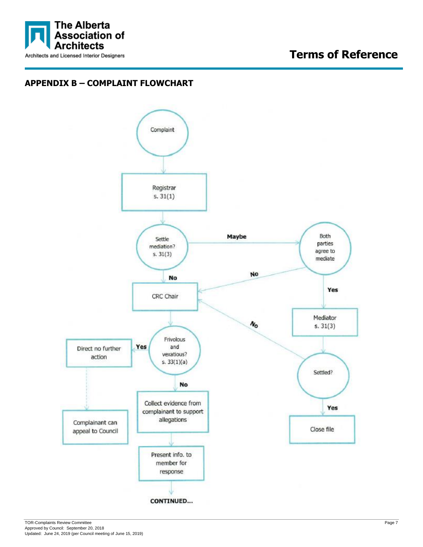

# **Terms of Reference**

# **APPENDIX B – COMPLAINT FLOWCHART**